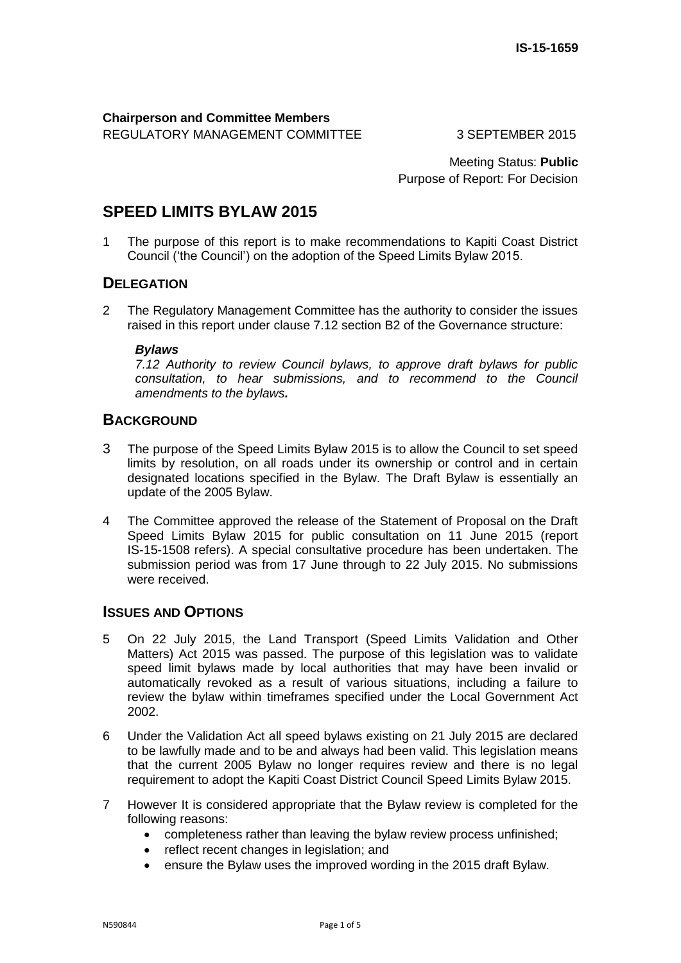# **Chairperson and Committee Members**

REGULATORY MANAGEMENT COMMITTEE3 SEPTEMBER 2015

Meeting Status: **Public** Purpose of Report: For Decision

# **SPEED LIMITS BYLAW 2015**

1 The purpose of this report is to make recommendations to Kapiti Coast District Council ('the Council') on the adoption of the Speed Limits Bylaw 2015.

### **DELEGATION**

2 The Regulatory Management Committee has the authority to consider the issues raised in this report under clause 7.12 section B2 of the Governance structure:

### *Bylaws*

*7.12 Authority to review Council bylaws, to approve draft bylaws for public consultation, to hear submissions, and to recommend to the Council amendments to the bylaws.*

### **BACKGROUND**

- 3 The purpose of the Speed Limits Bylaw 2015 is to allow the Council to set speed limits by resolution, on all roads under its ownership or control and in certain designated locations specified in the Bylaw. The Draft Bylaw is essentially an update of the 2005 Bylaw.
- 4 The Committee approved the release of the Statement of Proposal on the Draft Speed Limits Bylaw 2015 for public consultation on 11 June 2015 (report IS-15-1508 refers). A special consultative procedure has been undertaken. The submission period was from 17 June through to 22 July 2015. No submissions were received.

### **ISSUES AND OPTIONS**

- 5 On 22 July 2015, the Land Transport (Speed Limits Validation and Other Matters) Act 2015 was passed. The purpose of this legislation was to validate speed limit bylaws made by local authorities that may have been invalid or automatically revoked as a result of various situations, including a failure to review the bylaw within timeframes specified under the Local Government Act 2002.
- 6 Under the Validation Act all speed bylaws existing on 21 July 2015 are declared to be lawfully made and to be and always had been valid. This legislation means that the current 2005 Bylaw no longer requires review and there is no legal requirement to adopt the Kapiti Coast District Council Speed Limits Bylaw 2015.
- 7 However It is considered appropriate that the Bylaw review is completed for the following reasons:
	- completeness rather than leaving the bylaw review process unfinished;
	- reflect recent changes in legislation; and
	- ensure the Bylaw uses the improved wording in the 2015 draft Bylaw.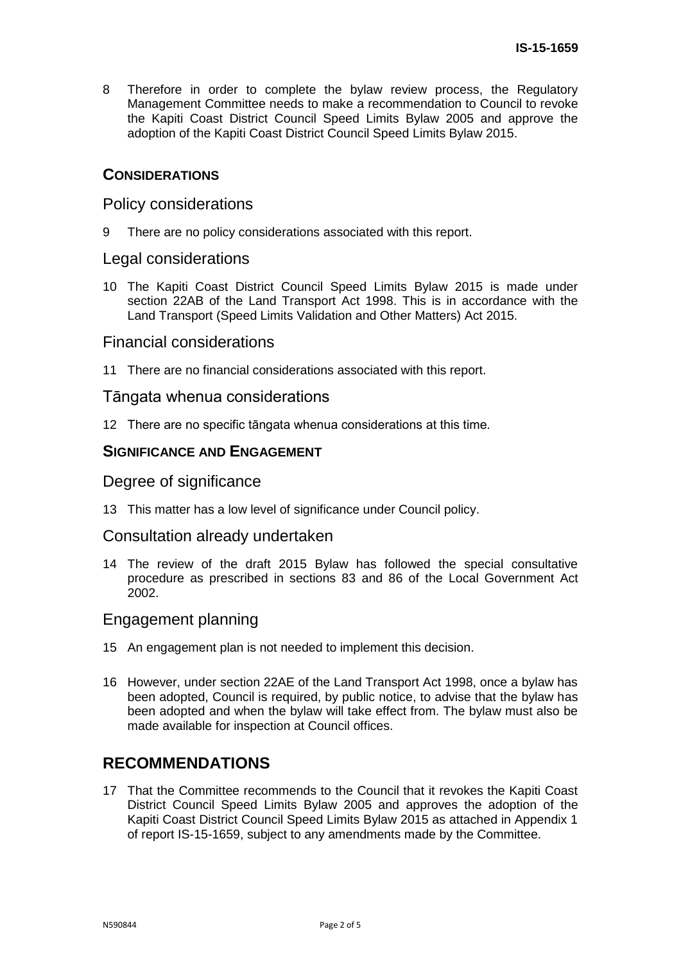8 Therefore in order to complete the bylaw review process, the Regulatory Management Committee needs to make a recommendation to Council to revoke the Kapiti Coast District Council Speed Limits Bylaw 2005 and approve the adoption of the Kapiti Coast District Council Speed Limits Bylaw 2015.

### **CONSIDERATIONS**

### Policy considerations

9 There are no policy considerations associated with this report.

### Legal considerations

10 The Kapiti Coast District Council Speed Limits Bylaw 2015 is made under section 22AB of the Land Transport Act 1998. This is in accordance with the Land Transport (Speed Limits Validation and Other Matters) Act 2015.

### Financial considerations

11 There are no financial considerations associated with this report.

### Tāngata whenua considerations

12 There are no specific tāngata whenua considerations at this time.

### **SIGNIFICANCE AND ENGAGEMENT**

### Degree of significance

13 This matter has a low level of significance under Council policy.

### Consultation already undertaken

14 The review of the draft 2015 Bylaw has followed the special consultative procedure as prescribed in sections 83 and 86 of the Local Government Act 2002.

### Engagement planning

- 15 An engagement plan is not needed to implement this decision.
- 16 However, under section 22AE of the Land Transport Act 1998, once a bylaw has been adopted, Council is required, by public notice, to advise that the bylaw has been adopted and when the bylaw will take effect from. The bylaw must also be made available for inspection at Council offices.

## **RECOMMENDATIONS**

17 That the Committee recommends to the Council that it revokes the Kapiti Coast District Council Speed Limits Bylaw 2005 and approves the adoption of the Kapiti Coast District Council Speed Limits Bylaw 2015 as attached in Appendix 1 of report IS-15-1659, subject to any amendments made by the Committee.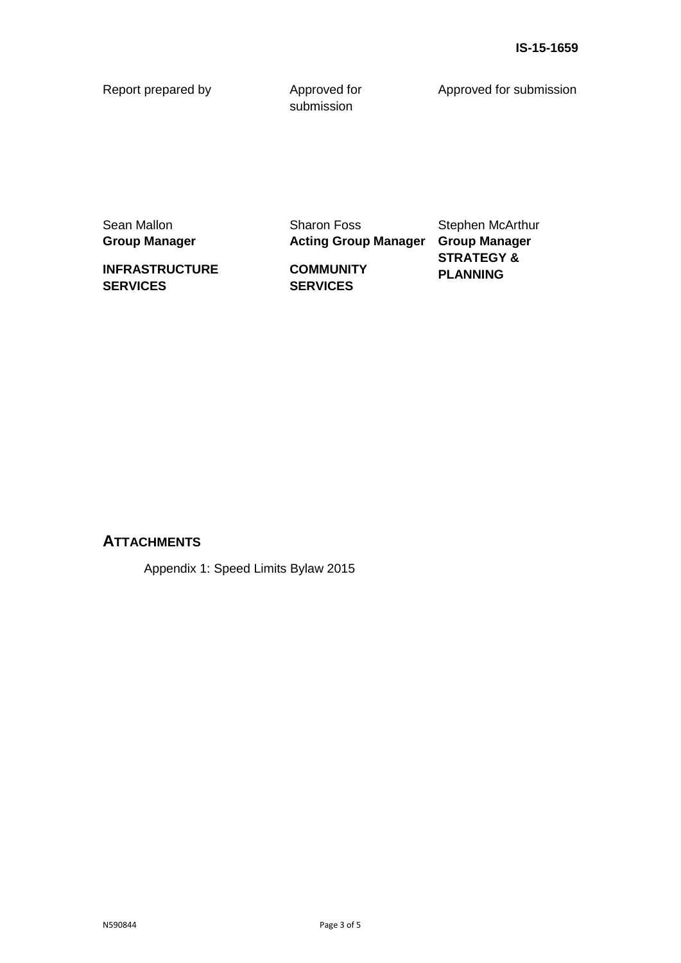Report prepared by **Approved for** 

submission

Approved for submission

Sean Mallon **Group Manager**

**INFRASTRUCTURE SERVICES**

**COMMUNITY SERVICES**

Sharon Foss

**Acting Group Manager Group Manager** Stephen McArthur **STRATEGY & PLANNING**

### **ATTACHMENTS**

Appendix 1: Speed Limits Bylaw 2015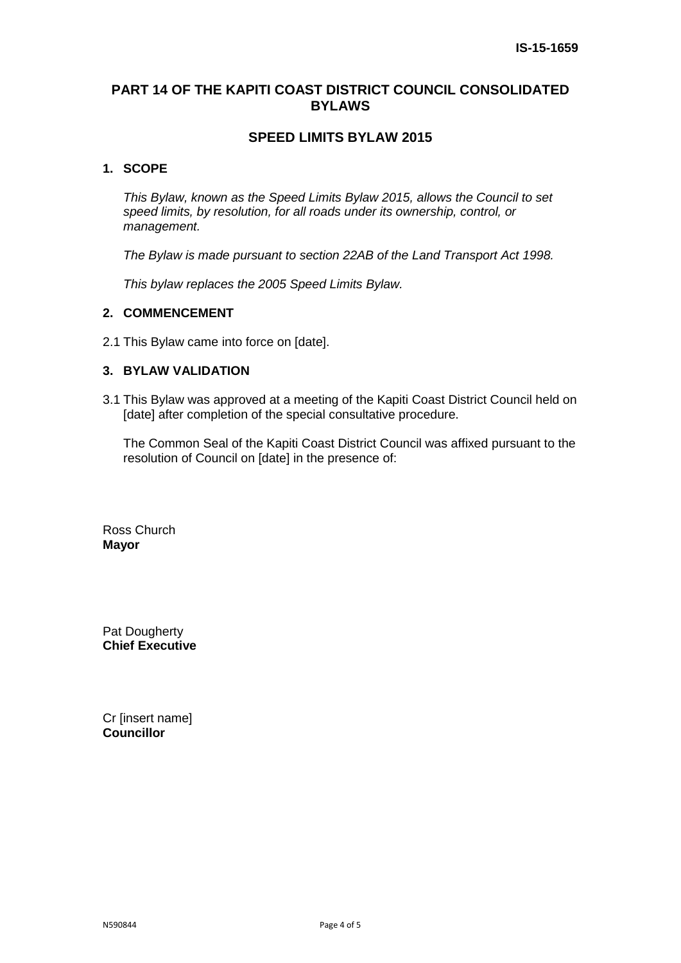### **PART 14 OF THE KAPITI COAST DISTRICT COUNCIL CONSOLIDATED BYLAWS**

### **SPEED LIMITS BYLAW 2015**

#### **1. SCOPE**

*This Bylaw, known as the Speed Limits Bylaw 2015, allows the Council to set speed limits, by resolution, for all roads under its ownership, control, or management.* 

*The Bylaw is made pursuant to section 22AB of the Land Transport Act 1998.* 

*This bylaw replaces the 2005 Speed Limits Bylaw.* 

#### **2. COMMENCEMENT**

2.1 This Bylaw came into force on [date].

### **3. BYLAW VALIDATION**

3.1 This Bylaw was approved at a meeting of the Kapiti Coast District Council held on [date] after completion of the special consultative procedure.

The Common Seal of the Kapiti Coast District Council was affixed pursuant to the resolution of Council on [date] in the presence of:

Ross Church **Mayor**

Pat Dougherty **Chief Executive**

Cr [insert name] **Councillor**